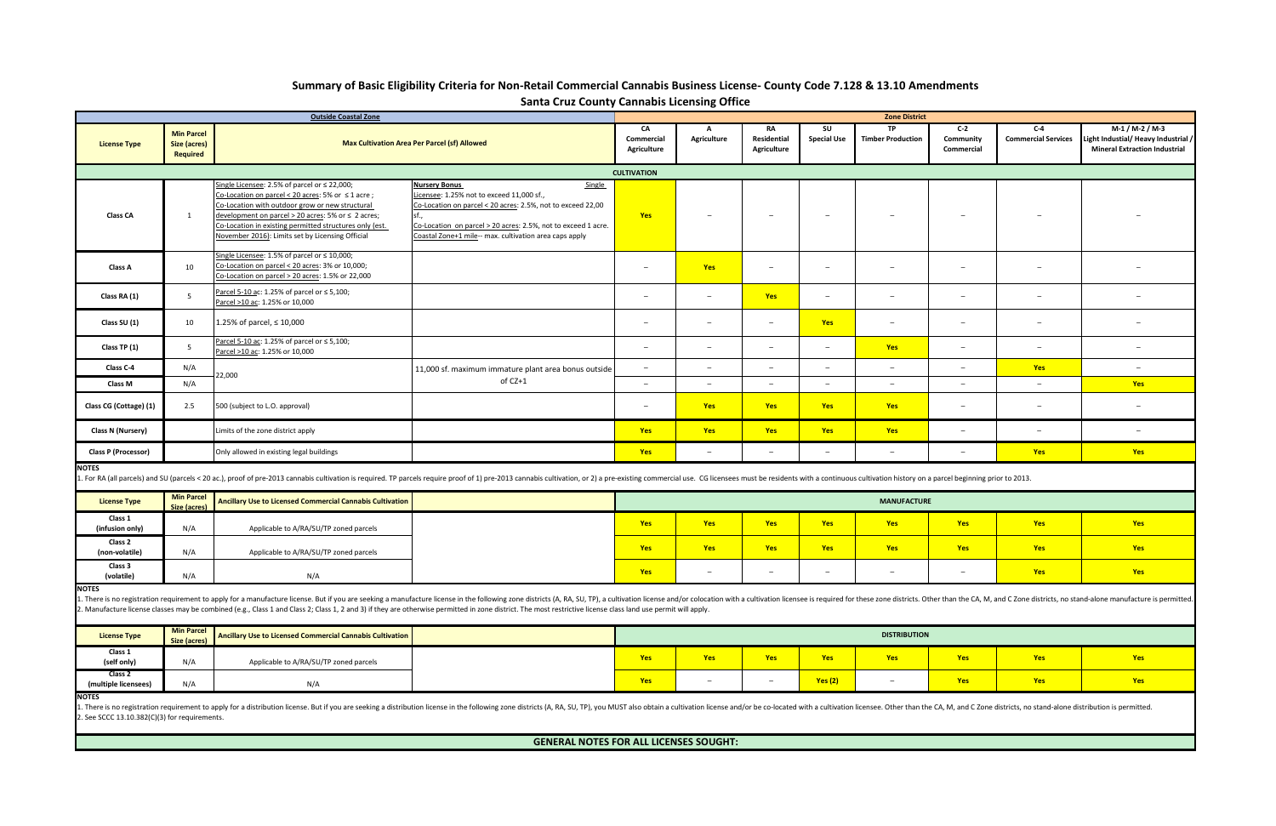| <b>Outside Coastal Zone</b>                                                                                                                                                                                                                                                                                                                                                                                                                                     |                                                             |                                                                                                                                                                                                                                                                                                                            |                                                                                                                                                                                                                                                                               | <b>Zone District</b>     |                          |                                         |                          |                                       |                                  |                                     |                                                                                              |
|-----------------------------------------------------------------------------------------------------------------------------------------------------------------------------------------------------------------------------------------------------------------------------------------------------------------------------------------------------------------------------------------------------------------------------------------------------------------|-------------------------------------------------------------|----------------------------------------------------------------------------------------------------------------------------------------------------------------------------------------------------------------------------------------------------------------------------------------------------------------------------|-------------------------------------------------------------------------------------------------------------------------------------------------------------------------------------------------------------------------------------------------------------------------------|--------------------------|--------------------------|-----------------------------------------|--------------------------|---------------------------------------|----------------------------------|-------------------------------------|----------------------------------------------------------------------------------------------|
| <b>License Type</b>                                                                                                                                                                                                                                                                                                                                                                                                                                             | <b>Min Parcel</b><br><b>Size (acres)</b><br><b>Required</b> | <b>Max Cultivation Area Per Parcel (sf) Allowed</b>                                                                                                                                                                                                                                                                        |                                                                                                                                                                                                                                                                               |                          | A<br>Agriculture         | <b>RA</b><br>Residential<br>Agriculture | SU<br><b>Special Use</b> | <b>TP</b><br><b>Timber Production</b> | $C-2$<br>Community<br>Commercial | $C-4$<br><b>Commercial Services</b> | $M-1/M-2/M-3$<br>Light Industial/ Heavy Industrial /<br><b>Mineral Extraction Industrial</b> |
| <b>CULTIVATION</b>                                                                                                                                                                                                                                                                                                                                                                                                                                              |                                                             |                                                                                                                                                                                                                                                                                                                            |                                                                                                                                                                                                                                                                               |                          |                          |                                         |                          |                                       |                                  |                                     |                                                                                              |
| <b>Class CA</b>                                                                                                                                                                                                                                                                                                                                                                                                                                                 | 1                                                           | Single Licensee: 2.5% of parcel or ≤ 22,000;<br>Co-Location on parcel < 20 acres: 5% or ≤ 1 acre ;<br>Co-Location with outdoor grow or new structural<br>development on parcel > 20 acres: 5% or ≤ 2 acres;<br>Co-Location in existing permitted structures only (est.<br>November 2016): Limits set by Licensing Official | <b>Nursery Bonus</b><br>Single<br>Licensee: 1.25% not to exceed 11,000 sf.,<br>Co-Location on parcel < 20 acres: 2.5%, not to exceed 22,00<br>sf.,<br>Co-Location on parcel > 20 acres: 2.5%, not to exceed 1 acre.<br>Coastal Zone+1 mile-- max. cultivation area caps apply | Yes                      |                          | $\overline{\phantom{a}}$                | $\overline{\phantom{a}}$ |                                       |                                  |                                     |                                                                                              |
| Class A                                                                                                                                                                                                                                                                                                                                                                                                                                                         | 10                                                          | Single Licensee: 1.5% of parcel or ≤ 10,000;<br>Co-Location on parcel < 20 acres: 3% or 10,000;<br>Co-Location on parcel > 20 acres: 1.5% or 22,000                                                                                                                                                                        |                                                                                                                                                                                                                                                                               | $\overline{\phantom{0}}$ | Yes                      | $\overline{\phantom{0}}$                | $\overline{\phantom{a}}$ | $\overline{\phantom{m}}$              | $\overline{\phantom{m}}$         | $\qquad \qquad -$                   |                                                                                              |
| Class RA (1)                                                                                                                                                                                                                                                                                                                                                                                                                                                    | 5                                                           | Parcel 5-10 ac: 1.25% of parcel or ≤ 5,100;<br>Parcel >10 ac: 1.25% or 10,000                                                                                                                                                                                                                                              |                                                                                                                                                                                                                                                                               | $\overline{\phantom{m}}$ | $\overline{\phantom{m}}$ | Yes                                     | $\overline{\phantom{m}}$ | $\overline{\phantom{m}}$              | $\overline{\phantom{m}}$         | $\overline{\phantom{m}}$            |                                                                                              |
| Class SU (1)                                                                                                                                                                                                                                                                                                                                                                                                                                                    | 10                                                          | 1.25% of parcel, ≤ 10,000                                                                                                                                                                                                                                                                                                  |                                                                                                                                                                                                                                                                               | $\overline{\phantom{0}}$ | $\overline{\phantom{0}}$ | $\hspace{0.1mm}-\hspace{0.1mm}$         | <b>Yes</b>               | $\overline{\phantom{m}}$              | $\overline{\phantom{0}}$         | $\qquad \qquad -$                   |                                                                                              |
| Class TP (1)                                                                                                                                                                                                                                                                                                                                                                                                                                                    | 5                                                           | Parcel 5-10 ac: 1.25% of parcel or ≤ 5,100;<br>Parcel >10 ac: 1.25% or 10,000                                                                                                                                                                                                                                              |                                                                                                                                                                                                                                                                               | $\overline{\phantom{0}}$ | $\overline{\phantom{0}}$ | $\overline{\phantom{a}}$                | $\overline{\phantom{a}}$ | <b>Yes</b>                            | $\overline{\phantom{m}}$         | $-$                                 | $\overline{\phantom{0}}$                                                                     |
| Class C-4                                                                                                                                                                                                                                                                                                                                                                                                                                                       | N/A                                                         | 22,000                                                                                                                                                                                                                                                                                                                     | 11,000 sf. maximum immature plant area bonus outside                                                                                                                                                                                                                          | $\overline{\phantom{a}}$ | $\overline{\phantom{a}}$ | $\sim$                                  | $\overline{\phantom{a}}$ | $\overline{\phantom{a}}$              | $\overline{\phantom{m}}$         | Yes                                 | $\overline{\phantom{a}}$                                                                     |
| <b>Class M</b>                                                                                                                                                                                                                                                                                                                                                                                                                                                  | N/A                                                         |                                                                                                                                                                                                                                                                                                                            | of CZ+1                                                                                                                                                                                                                                                                       | $\overline{\phantom{a}}$ | $\overline{\phantom{a}}$ | $\overline{\phantom{a}}$                | $\overline{\phantom{a}}$ | $\overline{\phantom{a}}$              | $\overline{\phantom{a}}$         | $\overline{\phantom{m}}$            | <b>Yes</b>                                                                                   |
| Class CG (Cottage) (1)                                                                                                                                                                                                                                                                                                                                                                                                                                          | 2.5                                                         | 500 (subject to L.O. approval)                                                                                                                                                                                                                                                                                             |                                                                                                                                                                                                                                                                               | $\overline{\phantom{a}}$ | Yes                      | Yes                                     | <b>Yes</b>               | Yes                                   | $\overline{\phantom{a}}$         | $\overline{\phantom{m}}$            |                                                                                              |
| Class N (Nursery)                                                                                                                                                                                                                                                                                                                                                                                                                                               |                                                             | Limits of the zone district apply                                                                                                                                                                                                                                                                                          |                                                                                                                                                                                                                                                                               | Yes                      | Yes                      | Yes                                     | <b>Yes</b>               | Yes                                   | $\overline{\phantom{m}}$         | $\overline{\phantom{m}}$            | $\overline{\phantom{0}}$                                                                     |
| <b>Class P (Processor)</b><br>Only allowed in existing legal buildings                                                                                                                                                                                                                                                                                                                                                                                          |                                                             |                                                                                                                                                                                                                                                                                                                            |                                                                                                                                                                                                                                                                               | Yes                      | $\overline{\phantom{a}}$ | $\overline{\phantom{a}}$                | $\overline{\phantom{a}}$ | $\overline{\phantom{a}}$              | $\overline{\phantom{a}}$         | <b>Yes</b>                          | <b>Yes</b>                                                                                   |
| <b>NOTES</b><br>1. For RA (all parcels) and SU (parcels < 20 ac.), proof of pre-2013 cannabis cultivation is required. TP parcels require proof of 1) pre-2013 cannabis cultivation, or 2) a pre-existing commercial use. CG licensees must be                                                                                                                                                                                                                  |                                                             |                                                                                                                                                                                                                                                                                                                            |                                                                                                                                                                                                                                                                               |                          |                          |                                         |                          |                                       |                                  |                                     |                                                                                              |
| <b>License Type</b>                                                                                                                                                                                                                                                                                                                                                                                                                                             | <b>Min Parcel</b><br>Size (acres)                           | <b>Ancillary Use to Licensed Commercial Cannabis Cultivation</b>                                                                                                                                                                                                                                                           |                                                                                                                                                                                                                                                                               | <b>MANUFACTURE</b>       |                          |                                         |                          |                                       |                                  |                                     |                                                                                              |
| Class 1<br>(infusion only)                                                                                                                                                                                                                                                                                                                                                                                                                                      | N/A                                                         | Applicable to A/RA/SU/TP zoned parcels                                                                                                                                                                                                                                                                                     |                                                                                                                                                                                                                                                                               | Yes                      | <b>Yes</b>               | Yes                                     | Yes                      | Yes                                   | <b>Yes</b>                       | Yes                                 | <b>Yes</b>                                                                                   |
| Class 2<br>(non-volatile)                                                                                                                                                                                                                                                                                                                                                                                                                                       | N/A                                                         | Applicable to A/RA/SU/TP zoned parcels                                                                                                                                                                                                                                                                                     |                                                                                                                                                                                                                                                                               | <b>Yes</b>               | Yes                      | <b>Yes</b>                              | <b>Yes</b>               | <b>Yes</b>                            | <b>Yes</b>                       | Yes                                 | <b>Yes</b>                                                                                   |
| Class 3<br>(volatile)                                                                                                                                                                                                                                                                                                                                                                                                                                           | N/A                                                         | N/A                                                                                                                                                                                                                                                                                                                        |                                                                                                                                                                                                                                                                               | <b>Yes</b>               | $\overline{\phantom{m}}$ | $\qquad \qquad -$                       | $\overline{\phantom{m}}$ | $\overline{\phantom{0}}$              | $\overline{\phantom{0}}$         | <b>Yes</b>                          | <b>Yes</b>                                                                                   |
| <b>NOTES</b><br>1. There is no registration requirement to apply for a manufacture license. But if you are seeking a manufacture license in the following zone districts (A, RA, SU, TP), a cultivation license and/or colocation with a culti<br>2. Manufacture license classes may be combined (e.g., Class 1 and Class 2; Class 1, 2 and 3) if they are otherwise permitted in zone district. The most restrictive license class land use permit will apply. |                                                             |                                                                                                                                                                                                                                                                                                                            |                                                                                                                                                                                                                                                                               |                          |                          |                                         |                          |                                       |                                  |                                     |                                                                                              |
| <b>License Type</b>                                                                                                                                                                                                                                                                                                                                                                                                                                             | <b>Min Parcel</b><br>Size (acres)                           | <b>Ancillary Use to Licensed Commercial Cannabis Cultivation</b>                                                                                                                                                                                                                                                           |                                                                                                                                                                                                                                                                               | <b>DISTRIBUTION</b>      |                          |                                         |                          |                                       |                                  |                                     |                                                                                              |
| Class 1<br>(self only)                                                                                                                                                                                                                                                                                                                                                                                                                                          | N/A                                                         | Applicable to A/RA/SU/TP zoned parcels                                                                                                                                                                                                                                                                                     |                                                                                                                                                                                                                                                                               | <b>Yes</b>               | <b>Yes</b>               | <b>Yes</b>                              | <b>Yes</b>               | <b>Yes</b>                            | <b>Yes</b>                       | <b>Yes</b>                          | <b>Yes</b>                                                                                   |
| Class 2<br>(multiple licensees)<br><b>NOTES</b>                                                                                                                                                                                                                                                                                                                                                                                                                 | N/A                                                         | N/A                                                                                                                                                                                                                                                                                                                        |                                                                                                                                                                                                                                                                               | <b>Yes</b>               | $\overline{\phantom{a}}$ | $\overline{\phantom{a}}$                | Yes(2)                   | $\overline{\phantom{m}}$              | <b>Yes</b>                       | <b>Yes</b>                          | <b>Yes</b>                                                                                   |
| 1. There is no registration requirement to apply for a distribution license. But if you are seeking a distribution license in the following zone districts (A, RA, SU, TP), you MUST also obtain a cultivation license and/or<br>2. See SCCC 13.10.382(C)(3) for requirements.                                                                                                                                                                                  |                                                             |                                                                                                                                                                                                                                                                                                                            |                                                                                                                                                                                                                                                                               |                          |                          |                                         |                          |                                       |                                  |                                     |                                                                                              |
| <b>GENERAL NOTES FOR ALL LICENSES SOUGHT:</b>                                                                                                                                                                                                                                                                                                                                                                                                                   |                                                             |                                                                                                                                                                                                                                                                                                                            |                                                                                                                                                                                                                                                                               |                          |                          |                                         |                          |                                       |                                  |                                     |                                                                                              |

| <b>License Type</b>        | Min Parcel<br>Size (acres) | Ancillary Use to Licensed Commercial Cannabis Cultivation |     |            |            |                          | <b>MANUFACTURE</b> |  |
|----------------------------|----------------------------|-----------------------------------------------------------|-----|------------|------------|--------------------------|--------------------|--|
| Class 1<br>(infusion only) | N/A                        | Applicable to A/RA/SU/TP zoned parcels                    | Yes | <b>Yes</b> | <b>Yes</b> | <b>Yes</b>               | Yes                |  |
| Class 2<br>(non-volatile)  | N/A                        | Applicable to A/RA/SU/TP zoned parcels                    | Yes | <b>Yes</b> | <b>Yes</b> | <b>Yes</b>               | Yes                |  |
| Class 3<br>(volatile)      | N/A                        | N/A                                                       | Yes | $-$        | -          | $\overline{\phantom{a}}$ |                    |  |

| <b>License Type</b>             | <b>Min Parcel</b><br>Size (acres) | Ancillary Use to Licensed Commercial Cannabis Cultivation |            | <b>DISTRIBUTION</b> |                          |            |            |  |  |  |
|---------------------------------|-----------------------------------|-----------------------------------------------------------|------------|---------------------|--------------------------|------------|------------|--|--|--|
| Class 1<br>(self only)          | N/A                               | Applicable to A/RA/SU/TP zoned parcels                    | <b>Yes</b> | <b>Yes</b>          | <b>Yes</b>               | <b>Yes</b> | <b>Ves</b> |  |  |  |
| Class 2<br>(multiple licensees) | N/A                               | N/A                                                       | Yes        | -                   | $\overline{\phantom{a}}$ | Yes(2)     | -          |  |  |  |

## **Summary of Basic Eligibility Criteria for Non-Retail Commercial Cannabis Business License- County Code 7.128 & 13.10 Amendments Santa Cruz County Cannabis Licensing Office**